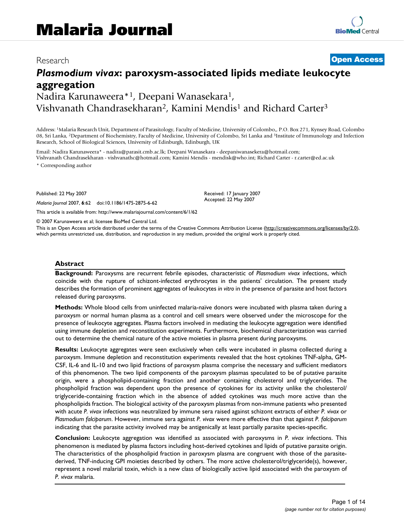## Research **[Open Access](http://www.biomedcentral.com/info/about/charter/)**

# *Plasmodium vivax***: paroxysm-associated lipids mediate leukocyte aggregation** Nadira Karunaweera\*1, Deepani Wanasekara1,

Vishvanath Chandrasekharan<sup>2</sup>, Kamini Mendis<sup>1</sup> and Richard Carter<sup>3</sup>

Address: 1Malaria Research Unit, Department of Parasitology, Faculty of Medicine, University of Colombo,, P.O. Box 271, Kynsey Road, Colombo 08, Sri Lanka, 2Department of Biochemistry, Faculty of Medicine, University of Colombo, Sri Lanka and 3Institute of Immunology and Infection Research, School of Biological Sciences, University of Edinburgh, Edinburgh, UK

Email: Nadira Karunaweera\* - nadira@parasit.cmb.ac.lk; Deepani Wanasekara - deepaniwanasekera@hotmail.com; Vishvanath Chandrasekharan - vishvanathc@hotmail.com; Kamini Mendis - mendisk@who.int; Richard Carter - r.carter@ed.ac.uk \* Corresponding author

Published: 22 May 2007

*Malaria Journal* 2007, **6**:62 doi:10.1186/1475-2875-6-62

[This article is available from: http://www.malariajournal.com/content/6/1/62](http://www.malariajournal.com/content/6/1/62)

© 2007 Karunaweera et al; licensee BioMed Central Ltd.

This is an Open Access article distributed under the terms of the Creative Commons Attribution License [\(http://creativecommons.org/licenses/by/2.0\)](http://creativecommons.org/licenses/by/2.0), which permits unrestricted use, distribution, and reproduction in any medium, provided the original work is properly cited.

Received: 17 January 2007 Accepted: 22 May 2007

#### **Abstract**

**Background:** Paroxysms are recurrent febrile episodes, characteristic of *Plasmodium vivax* infections, which coincide with the rupture of schizont-infected erythrocytes in the patients' circulation. The present study describes the formation of prominent aggregates of leukocytes *in vitro* in the presence of parasite and host factors released during paroxysms.

**Methods:** Whole blood cells from uninfected malaria-naïve donors were incubated with plasma taken during a paroxysm or normal human plasma as a control and cell smears were observed under the microscope for the presence of leukocyte aggregates. Plasma factors involved in mediating the leukocyte aggregation were identified using immune depletion and reconstitution experiments. Furthermore, biochemical characterization was carried out to determine the chemical nature of the active moieties in plasma present during paroxysms.

**Results:** Leukocyte aggregates were seen exclusively when cells were incubated in plasma collected during a paroxysm. Immune depletion and reconstitution experiments revealed that the host cytokines TNF-alpha, GM-CSF, IL-6 and IL-10 and two lipid fractions of paroxysm plasma comprise the necessary and sufficient mediators of this phenomenon. The two lipid components of the paroxysm plasmas speculated to be of putative parasite origin, were a phospholipid-containing fraction and another containing cholesterol and triglycerides. The phospholipid fraction was dependent upon the presence of cytokines for its activity unlike the cholesterol/ triglyceride-containing fraction which in the absence of added cytokines was much more active than the phospholipids fraction. The biological activity of the paroxysm plasmas from non-immune patients who presented with acute *P. vivax* infections was neutralized by immune sera raised against schizont extracts of either *P. vivax* or *Plasmodium falciparum*. However, immune sera against *P. vivax* were more effective than that against *P. falciparum* indicating that the parasite activity involved may be antigenically at least partially parasite species-specific.

**Conclusion:** Leukocyte aggregation was identified as associated with paroxysms in *P. vivax* infections. This phenomenon is mediated by plasma factors including host-derived cytokines and lipids of putative parasite origin. The characteristics of the phospholipid fraction in paroxysm plasma are congruent with those of the parasitederived, TNF-inducing GPI moieties described by others. The more active cholesterol/triglyceride(s), however, represent a novel malarial toxin, which is a new class of biologically active lipid associated with the paroxysm of *P. vivax* malaria.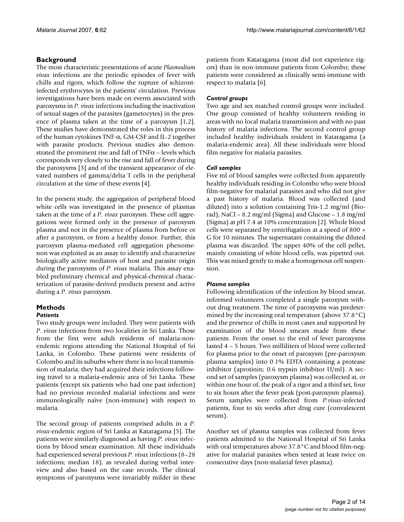## **Background**

The most characteristic presentations of acute *Plasmodium vivax* infections are the periodic episodes of fever with chills and rigors, which follow the rupture of schizontinfected erythrocytes in the patients' circulation. Previous investigations have been made on events associated with paroxysms in *P. vivax* infections including the inactivation of sexual stages of the parasites (gametocytes) in the presence of plasma taken at the time of a paroxysm [[1](#page-12-0),2]. These studies have demonstrated the roles in this process of the human cytokines TNF-α, GM-CSF and IL-2 together with parasite products. Previous studies also demonstrated the prominent rise and fall of  $TNF\alpha$  – levels which corresponds very closely to the rise and fall of fever during the paroxysms [3] and of the transient appearance of elevated numbers of gamma/delta T cells in the peripheral circulation at the time of these events [4].

In the present study, the aggregation of peripheral blood white cells was investigated in the presence of plasmas taken at the time of a *P. vivax* paroxysm. These cell aggregations were formed only in the presence of paroxysm plasma and not in the presence of plasma from before or after a paroxysm, or from a healthy donor. Further, this paroxysm plasma-mediated cell aggregation phenomenon was exploited as an assay to identify and characterize biologically active mediators of host and parasite origin during the paroxysms of *P. vivax* malaria. This assay enabled preliminary chemical and physical-chemical characterization of parasite-derived products present and active during a *P. vivax* paroxysm.

#### **Methods** *Patients*

Two study groups were included. They were patients with *P. vivax* infections from two localities in Sri Lanka. Those from the first were adult residents of malaria-nonendemic regions attending the National Hospital of Sri Lanka, in Colombo. These patients were residents of Colombo and its suburbs where there is no local transmission of malaria; they had acquired their infections following travel to a malaria-endemic area of Sri Lanka. These patients (except six patients who had one past infection) had no previous recorded malarial infections and were immunologically naïve (non-immune) with respect to malaria.

The second group of patients comprised adults in a *P. vivax*-endemic region of Sri Lanka at Kataragama [5]. The patients were similarly diagnosed as having *P. vivax* infections by blood smear examination. All these individuals had experienced several previous *P. vivax* infections (8–28 infections; median 18), as revealed during verbal interview and also based on the case records. The clinical symptoms of paroxysms were invariably milder in these patients from Kataragama (most did not experience rigors) than in non-immune patients from Colombo; these patients were considered as clinically semi-immune with respect to malaria [[6](#page-12-1)].

## *Control groups*

Two age and sex matched control groups were included. One group consisted of healthy volunteers residing in areas with no local malaria transmission and with no past history of malaria infections. The second control group included healthy individuals resident in Kataragama (a malaria-endemic area). All these individuals were blood film-negative for malaria parasites.

## *Cell samples*

Five ml of blood samples were collected from apparently healthy individuals residing in Colombo who were blood film-negative for malarial parasites and who did not give a past history of malaria. Blood was collected (and diluted) into a solution containing Tris-1.2 mg/ml (Biorad), NaCl – 8.2 mg/ml (Sigma) and Glucose – 1.8 mg/ml (Sigma) at pH 7.4 at 10% concentration [2]. Whole blood cells were separated by centrifugation at a speed of 800 × G for 10 minutes. The supernatant containing the diluted plasma was discarded. The upper 40% of the cell pellet, mainly consisting of white blood cells, was pipetted out. This was mixed gently to make a homogenous cell suspension.

## *Plasma samples*

Following identification of the infection by blood smear, informed volunteers completed a single paroxysm without drug treatment. The time of paroxysms was predetermined by the increasing oral temperature (above 37.8°C) and the presence of chills in most cases and supported by examination of the blood smears made from these patients. From the onset to the end of fever paroxysms lasted 4 – 5 hours. Two milliliters of blood were collected for plasma prior to the onset of paroxysm (pre-paroxysm plasma samples) into 0.1% EDTA containing a protease inhibitor (aprotinin; 0.6 trypsin inhibitor U/ml). A second set of samples (paroxysm plasma) was collected at, or within one hour of, the peak of a rigor and a third set, four to six hours after the fever peak (post-paroxysm plasma). Serum samples were collected from *P.vivax-*infected patients, four to six weeks after drug cure (convalescent serum).

Another set of plasma samples was collected from fever patients admitted to the National Hospital of Sri Lanka with oral temperatures above 37.8°C and blood film-negative for malarial parasites when tested at least twice on consecutive days (non-malarial fever plasma).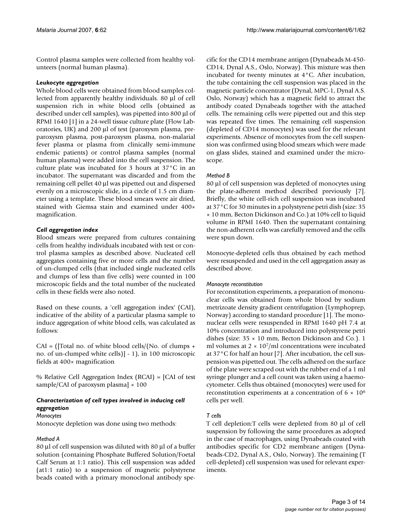Control plasma samples were collected from healthy volunteers (normal human plasma).

## *Leukocyte aggregation*

Whole blood cells were obtained from blood samples collected from apparently healthy individuals. 80 μl of cell suspension rich in white blood cells (obtained as described under cell samples), was pipetted into 800 μl of RPMI 1640 [\[1\]](#page-12-0) in a 24-well tissue culture plate (Flow Laboratories, UK) and 200 μl of test (paroxysm plasma, preparoxysm plasma, post-paroxysm plasma, non-malarial fever plasma or plasma from clinically semi-immune endemic patients) or control plasma samples (normal human plasma) were added into the cell suspension. The culture plate was incubated for 3 hours at 37°C in an incubator. The supernatant was discarded and from the remaining cell pellet 40 μl was pipetted out and dispersed evenly on a microscopic slide, in a circle of 1.5 cm diameter using a template. These blood smears were air dried, stained with Giemsa stain and examined under 400× magnification.

## *Cell aggregation index*

Blood smears were prepared from cultures containing cells from healthy individuals incubated with test or control plasma samples as described above. Nucleated cell aggregates containing five or more cells and the number of un-clumped cells (that included single nucleated cells and clumps of less than five cells) were counted in 100 microscopic fields and the total number of the nucleated cells in these fields were also noted.

Based on these counts, a 'cell aggregation index' (CAI), indicative of the ability of a particular plasma sample to induce aggregation of white blood cells, was calculated as follows:

 $CAI = ([Total no. of white blood cells/(No. of clumps +$ no. of un-clumped white cells)] - 1), in 100 microscopic fields at 400× magnification

% Relative Cell Aggregation Index (RCAI) = [CAI of test sample/CAI of paroxysm plasma]  $\times$  100

## *Characterization of cell types involved in inducing cell aggregation*

#### *Monocytes*

Monocyte depletion was done using two methods:

## *Method A*

80 μl of cell suspension was diluted with 80 μl of a buffer solution (containing Phosphate Buffered Solution/Foetal Calf Serum at 1:1 ratio). This cell suspension was added (at1:1 ratio) to a suspension of magnetic polystyrene beads coated with a primary monoclonal antibody specific for the CD14 membrane antigen (Dynabeads M-450- CD14, Dynal A.S., Oslo, Norway). This mixture was then incubated for twenty minutes at 4°C. After incubation, the tube containing the cell suspension was placed in the magnetic particle concentrator (Dynal, MPC-1, Dynal A.S. Oslo, Norway) which has a magnetic field to attract the antibody coated Dynabeads together with the attached cells. The remaining cells were pipetted out and this step was repeated five times. The remaining cell suspension (depleted of CD14 monocytes) was used for the relevant experiments. Absence of monocytes from the cell suspension was confirmed using blood smears which were made on glass slides, stained and examined under the microscope.

## *Method B*

80 μl of cell suspension was depleted of monocytes using the plate-adherent method described previously [7]. Briefly, the white cell-rich cell suspension was incubated at 37°C for 30 minutes in a polystyrene petri dish (size: 35 × 10 mm, Becton Dickinson and Co.) at 10% cell to liquid volume in RPMI 1640. Then the supernatant containing the non-adherent cells was carefully removed and the cells were spun down.

Monocyte-depleted cells thus obtained by each method were resuspended and used in the cell aggregation assay as described above.

## *Monocyte reconstitution*

For reconstitution experiments, a preparation of mononuclear cells was obtained from whole blood by sodium metrizoate density gradient centrifugation (Lymphoprep, Norway) according to standard procedure [[1](#page-12-0)]. The mononuclear cells were resuspended in RPMI 1640 pH 7.4 at 10% concentration and introduced into polystyrene petri dishes (size:  $35 \times 10$  mm, Becton Dickinson and Co.). 1 ml volumes at  $2 \times 10^7$ /ml concentrations were incubated at 37°C for half an hour [7]. After incubation, the cell suspension was pipetted out. The cells adhered on the surface of the plate were scraped out with the rubber end of a 1 ml syringe plunger and a cell count was taken using a haemocytometer. Cells thus obtained (monocytes) were used for reconstitution experiments at a concentration of  $6 \times 10^6$ cells per well.

## *T cells*

T cell depletion:T cells were depleted from 80 μl of cell suspension by following the same procedures as adopted in the case of macrophages, using Dynabeads coated with antibodies specific for CD2 membrane antigen (Dynabeads-CD2, Dynal A.S., Oslo, Norway). The remaining (T cell-depleted) cell suspension was used for relevant experiments.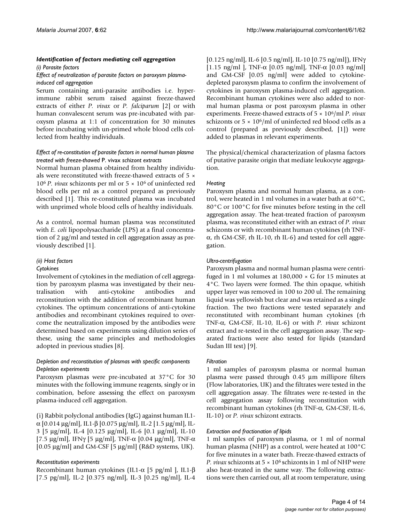#### *Identification of factors mediating cell aggregation*

*(i) Parasite factors*

#### *Effect of neutralization of parasite factors on paroxysm plasmainduced cell aggregation*

Serum containing anti-parasite antibodies i.e. hyperimmune rabbit serum raised against freeze-thawed extracts of either *P. vivax* or *P. falciparum* [2] or with human convalescent serum was pre-incubated with paroxysm plasma at 1:1 of concentration for 30 minutes before incubating with un-primed whole blood cells collected from healthy individuals.

## *Effect of re-constitution of parasite factors in normal human plasma treated with freeze-thawed* P. vivax *schizont extracts*

Normal human plasma obtained from healthy individuals were reconstituted with freeze-thawed extracts of 5 × 106 *P. vivax* schizonts per ml or 5 × 106 of uninfected red blood cells per ml as a control prepared as previously described [\[1\]](#page-12-0). This re-constituted plasma was incubated with unprimed whole blood cells of healthy individuals.

As a control, normal human plasma was reconstituted with *E. coli* lipopolysaccharide (LPS) at a final concentration of 2 μg/ml and tested in cell aggregation assay as previously described [[1](#page-12-0)].

### *(ii) Host factors*

#### *Cytokines*

Involvement of cytokines in the mediation of cell aggregation by paroxysm plasma was investigated by their neutralisation with anti-cytokine antibodies and reconstitution with the addition of recombinant human cytokines. The optimum concentrations of anti-cytokine antibodies and recombinant cytokines required to overcome the neutralization imposed by the antibodies were determined based on experiments using dilution series of these, using the same principles and methodologies adopted in previous studies [8].

## *Depletion and reconstitution of plasmas with specific components Depletion experiments*

Paroxysm plasmas were pre-incubated at 37°C for 30 minutes with the following immune reagents, singly or in combination, before assessing the effect on paroxysm plasma-induced cell aggregation.

(i) Rabbit polyclonal antibodies (IgG) against human IL1 α [0.014 μg/ml], IL1-β [0.075 μg/ml], IL-2 [1.5 μg/ml], IL-3 [5 μg/ml], IL-4 [0.125 μg/ml], IL-6 [0.1 μg/ml], IL-10 [7.5 μg/ml], IFNγ [5 μg/ml], TNF-α [0.04 μg/ml], TNF-α [0.05 μg/ml] and GM-CSF [5 μg/ml] (R&D systems, UK).

#### *Reconstitution experiments*

Recombinant human cytokines (IL1-α [5 pg/ml ], IL1-β [7.5 pg/ml], IL-2 [0.375 ng/ml], IL-3 [0.25 ng/ml], IL-4

[0.125 ng/ml], IL-6 [0.5 ng/ml], IL-10 [0.75 ng/ml]), IFNγ [1.15 ng/ml ], TNF-α [0.05 ng/ml], TNF-α [0.03 ng/ml] and GM-CSF [0.05 ng/ml] were added to cytokinedepleted paroxysm plasma to confirm the involvement of cytokines in paroxysm plasma-induced cell aggregation. Recombinant human cytokines were also added to normal human plasma or post paroxysm plasma in other experiments. Freeze-thawed extracts of 5 × 106/ml *P. vivax* schizonts or  $5 \times 10^6$ /ml of uninfected red blood cells as a control (prepared as previously described, [\[1\]](#page-12-0)) were added to plasmas in relevant experiments.

The physical/chemical characterization of plasma factors of putative parasite origin that mediate leukocyte aggregation.

### *Heating*

Paroxysm plasma and normal human plasma, as a control, were heated in 1 ml volumes in a water bath at 60°C, 80°C or 100°C for five minutes before testing in the cell aggregation assay. The heat-treated fraction of paroxysm plasma, was reconstituted either with an extract of *P. vivax* schizonts or with recombinant human cytokines (rh TNF- $\alpha$ , rh GM-CSF, rh IL-10, rh IL-6) and tested for cell aggregation.

## *Ultra-centrifugation*

Paroxysm plasma and normal human plasma were centrifuged in 1 ml volumes at  $180,000 \times G$  for 15 minutes at 4°C. Two layers were formed. The thin opaque, whitish upper layer was removed in 100 to 200 ul. The remaining liquid was yellowish but clear and was retained as a single fraction. The two fractions were tested separately and reconstituted with recombinant human cytokines (rh TNF-α, GM-CSF, IL-10, IL-6) or with *P. vivax* schizont extract and re-tested in the cell aggregation assay. The separated fractions were also tested for lipids (standard Sudan III test) [9].

#### *Filtration*

1 ml samples of paroxysm plasma or normal human plasma were passed through 0.45 μm millipore filters (Flow laboratories, UK) and the filtrates were tested in the cell aggregation assay. The filtrates were re-tested in the cell aggregation assay following reconstitution with recombinant human cytokines (rh TNF-α, GM-CSF, IL-6, IL-10) or *P. vivax* schizont extracts.

#### *Extraction and fractionation of lipids*

1 ml samples of paroxysm plasma, or 1 ml of normal human plasma (NHP) as a control, were heated at 100°C for five minutes in a water bath. Freeze-thawed extracts of *P. vivax* schizonts at 5 × 106 schizonts in 1 ml of NHP were also heat-treated in the same way. The following extractions were then carried out, all at room temperature, using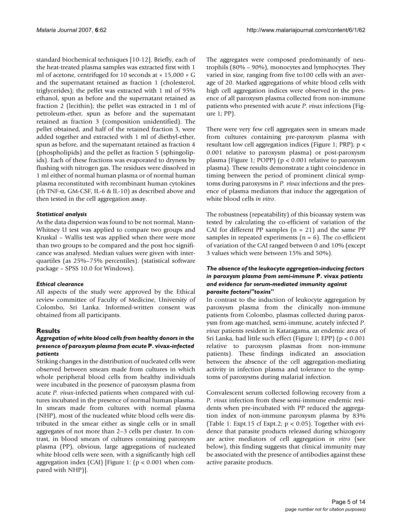standard biochemical techniques [10-12]. Briefly, each of the heat-treated plasma samples was extracted first with 1 ml of acetone, centrifuged for 10 seconds at  $\times$  15,000  $\times$  G and the supernatant retained as fraction 1 (cholesterol, triglycerides); the pellet was extracted with 1 ml of 95% ethanol, spun as before and the supernatant retained as fraction 2 (lecithin); the pellet was extracted in 1 ml of petroleum-ether, spun as before and the supernatant retained as fraction 3 (composition unidentified). The pellet obtained, and half of the retained fraction 3, were added together and extracted with 1 ml of diethyl-ether, spun as before, and the supernatant retained as fraction 4 (phospholipids) and the pellet as fraction 5 (sphingolipids). Each of these fractions was evaporated to dryness by flushing with nitrogen gas. The residues were dissolved in 1 ml either of normal human plasma or of normal human plasma reconstituted with recombinant human cytokines (rh TNF-α, GM-CSF, IL-6 & IL-10) as described above and then tested in the cell aggregation assay.

#### *Statistical analysis*

As the data dispersion was found to be not normal, Mann-Whitney U test was applied to compare two groups and Kruskal – Wallis test was applied when there were more than two groups to be compared and the post hoc significance was analysed. Median values were given with interquartiles (as 25%–75% percentiles). (statistical software package – SPSS 10.0 for Windows).

## *Ethical clearance*

All aspects of the study were approved by the Ethical review committee of Faculty of Medicine, University of Colombo, Sri Lanka. Informed-written consent was obtained from all participants.

## **Results**

## *Aggregation of white blood cells from healthy donors in the presence of paroxysm plasma from acute* **P. vivax***-infected patients*

Striking changes in the distribution of nucleated cells were observed between smears made from cultures in which whole peripheral blood cells from healthy individuals were incubated in the presence of paroxysm plasma from acute *P. vivax*-infected patients when compared with cultures incubated in the presence of normal human plasma. In smears made from cultures with normal plasma (NHP), most of the nucleated white blood cells were distributed in the smear either as single cells or in small aggregates of not more than 2–3 cells per cluster. In contrast, in blood smears of cultures containing paroxysm plasma (PP), obvious, large aggregations of nucleated white blood cells were seen, with a significantly high cell aggregation index (CAI) [Figure 1:  $(p < 0.001$  when compared with NHP)].

The aggregates were composed predominantly of neutrophils (80% – 90%), monocytes and lymphocytes. They varied in size, ranging from five to100 cells with an average of 20. Marked aggregations of white blood cells with high cell aggregation indices were observed in the presence of all paroxysm plasma collected from non-immune patients who presented with acute *P. vivax* infections (Figure 1; PP).

There were very few cell aggregates seen in smears made from cultures containing pre-paroxysm plasma with resultant low cell aggregation indices (Figure 1; PRP); p < 0.001 relative to paroxysm plasma) or post-paroxysm plasma (Figure 1; POPP) (p < 0.001 relative to paroxysm plasma). These results demonstrate a tight coincidence in timing between the period of prominent clinical symptoms during paroxysms in *P. vivax* infections and the presence of plasma mediators that induce the aggregation of white blood cells *in vitro*.

The robustness (repeatability) of this bioassay system was tested by calculating the co-efficient of variation of the CAI for different PP samples  $(n = 21)$  and the same PP samples in repeated experiments  $(n = 6)$ . The co-efficient of variation of the CAI ranged between 0 and 10% (except 3 values which were between 15% and 50%).

#### *The absence of the leukocyte aggregation-inducing factors in paroxysm plasma from semi-immune* **P. vivax** *patients and evidence for serum-mediated immunity against parasite factors/"toxins"*

In contrast to the induction of leukocyte aggregation by paroxysm plasma from the clinically non-immune patients from Colombo, plasmas collected during paroxysm from age-matched, semi-immune, acutely infected *P. vivax* patients resident in Kataragama, an endemic area of Sri Lanka, had little such effect (Figure 1; EPP) (p < 0.001 relative to paroxysm plasmas from non-immune patients). These findings indicated an association between the absence of the cell aggregation-mediating activity in infection plasma and tolerance to the symptoms of paroxysms during malarial infection.

Convalescent serum collected following recovery from a *P. vivax* infection from these semi-immune endemic residents when pre-incubated with PP reduced the aggregation index of non-immune paroxysm plasma by 83% (Table 1: Expt.15 cf Expt.2;  $p < 0.05$ ). Together with evidence that parasite products released during schizogony are active mediators of cell aggregation *in vitro* (see below), this finding suggests that clinical immunity may be associated with the presence of antibodies against these active parasite products.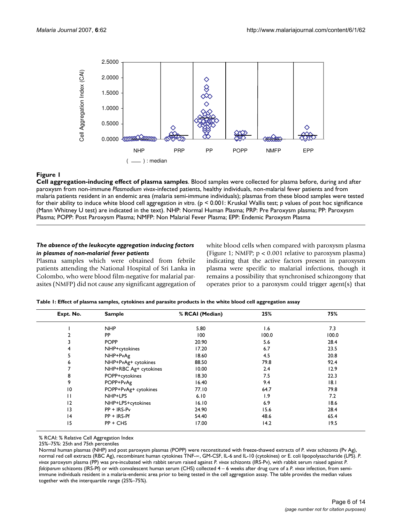

## Figure 1

**Cell aggregation-inducing effect of plasma samples**. Blood samples were collected for plasma before, during and after paroxysm from non-immune *Plasmodium vivax*-infected patients, healthy individuals, non-malarial fever patients and from malaria patients resident in an endemic area (malaria semi-immune individuals); plasmas from these blood samples were tested for their ability to induce white blood cell aggregation *in vitro*. (p < 0.001: Kruskal Wallis test; p values of post hoc significance (Mann Whitney U test) are indicated in the text). NHP: Normal Human Plasma; PRP: Pre Paroxysm plasma; PP: Paroxysm Plasma; POPP: Post Paroxysm Plasma; NMFP: Non Malarial Fever Plasma; EPP: Endemic Paroxysm Plasma

### *The absence of the leukocyte aggregation inducing factors in plasmas of non-malarial fever patients*

Plasma samples which were obtained from febrile patients attending the National Hospital of Sri Lanka in Colombo, who were blood film-negative for malarial parasites (NMFP) did not cause any significant aggregation of white blood cells when compared with paroxysm plasma (Figure 1; NMFP; p < 0.001 relative to paroxysm plasma) indicating that the active factors present in paroxysm plasma were specific to malarial infections, though it remains a possibility that synchronised schizongony that operates prior to a paroxysm could trigger agent(s) that

| Expt. No. | <b>Sample</b>         | % RCAI (Median) | 25%   | 75%   |
|-----------|-----------------------|-----------------|-------|-------|
|           | <b>NHP</b>            | 5.80            | 1.6   | 7.3   |
|           | PP                    | 100             | 100.0 | 100.0 |
|           | <b>POPP</b>           | 20.90           | 5.6   | 28.4  |
| 4         | NHP+cytokines         | 17.20           | 6.7   | 23.5  |
| 5.        | NHP+PvAg              | 18.60           | 4.5   | 20.8  |
| 6         | NHP+PvAg+ cytokines   | 88.50           | 79.8  | 92.4  |
|           | NHP+RBC Ag+ cytokines | 10.00           | 2.4   | 12.9  |
| 8         | POPP+cytokines        | 18.30           | 7.5   | 22.3  |
| 9         | POPP+PvAg             | 16.40           | 9.4   | 8.1   |
| 10        | POPP+PvAg+ cytokines  | 77.10           | 64.7  | 79.8  |
| П         | NHP+LPS               | 6.10            | 1.9   | 7.2   |
| 12        | NHP+LPS+cytokines     | 16.10           | 6.9   | 18.6  |
| 3         | $PP + IRS-Pv$         | 24.90           | 15.6  | 28.4  |
| 4         | $PP + IRS-PF$         | 54.40           | 48.6  | 65.4  |
| 15        | $PP + CHS$            | 17.00           | 14.2  | 19.5  |

|  |  |  | Table I: Effect of plasma samples, cytokines and parasite products in the white blood cell aggregation assay |
|--|--|--|--------------------------------------------------------------------------------------------------------------|
|  |  |  |                                                                                                              |

% RCAI: % Relative Cell Aggregation Index

25%–75%: 25th and 75th percentiles

Normal human plasmas (NHP) and post paroxysm plasmas (POPP) were reconstituted with freeze-thawed extracts of *P. vivax* schizonts (Pv Ag), normal red cell extracts (RBC Ag), recombinant human cytokines TNF-∝, GM-CSF, IL-6 and IL-10 (cytokines) or E. coli lipopolysaccharide (LPS). *P. vivax* paroxysm plasma (PP) was pre-incubated with rabbit serum raised against *P. vivax* schizonts (IRS-Pv), with rabbit serum raised against *P. falciparum* schizonts (IRS-Pf) or with convalescent human serum (CHS) collected 4 – 6 weeks after drug cure of a *P. vivax* infection, from semiimmune individuals resident in a malaria-endemic area prior to being tested in the cell aggregation assay. The table provides the median values together with the interquartile range (25%–75%).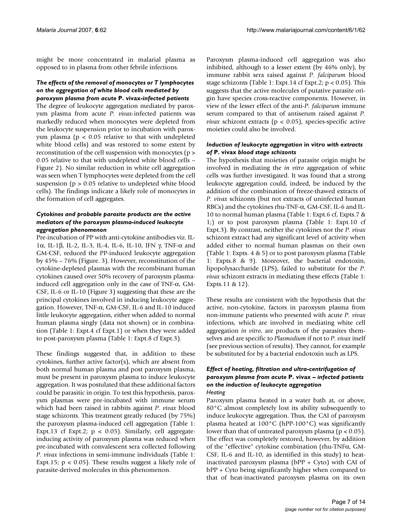might be more concentrated in malarial plasma as opposed to in plasma from other febrile infections.

#### *The effects of the removal of monocytes or T lymphocytes on the aggregation of white blood cells mediated by paroxysm plasma from acute* **P. vivax***-infected patients*

The degree of leukocyte aggregation mediated by paroxysm plasma from acute *P. vivax*-infected patients was markedly reduced when monocytes were depleted from the leukocyte suspension prior to incubation with paroxysm plasma (p < 0.05 relative to that with undepleted white blood cells) and was restored to some extent by reconstitution of the cell suspension with monocytes (p > 0.05 relative to that with undepleted white blood cells – Figure 2). No similar reduction in white cell aggregation was seen when T lymphocytes were depleted from the cell suspension ( $p > 0.05$  relative to undepleted white blood cells). The findings indicate a likely role of monocytes in the formation of cell aggregates.

## *Cytokines and probable parasite products are the active mediators of the paroxysm plasma-induced leukocyte aggregation phenomenon*

Pre-incubation of PP with anti-cytokine antibodies viz. IL-1α, IL-1β, IL-2, IL-3, IL-4, IL-6, IL-10, IFN γ, TNF-α and GM-CSF, reduced the PP-induced leukocyte aggregation by 45% – 76% (Figure. 3). However, reconstitution of the cytokine-depleted plasmas with the recombinant human cytokines caused over 50% recovery of paroxysm plasmainduced cell aggregation only in the case of TNF-α, GM-CSF, IL-6 or IL-10 (Figure 3) suggesting that these are the principal cytokines involved in inducing leukocyte aggregation. However, TNF-α, GM-CSF, IL-6 and IL-10 induced little leukocyte aggregation, either when added to normal human plasma singly (data not shown) or in combination (Table 1: Expt.4 cf Expt.1) or when they were added to post-paroxysm plasma (Table 1: Expt.8 cf Expt.3).

These findings suggested that, in addition to these cytokines, further active factor(s), which are absent from both normal human plasma and post paroxysm plasma, must be present in paroxysm plasma to induce leukocyte aggregation. It was postulated that these additional factors could be parasitic in origin. To test this hypothesis, paroxysm plasmas were pre-incubated with immune serum which had been raised in rabbits against *P. vivax* blood stage schizonts. This treatment greatly reduced (by 75%) the paroxysm plasma-induced cell aggregation (Table 1: Expt.13 cf Expt.2;  $p < 0.05$ ). Similarly, cell aggregateinducing activity of paroxysm plasma was reduced when pre-incubated with convalescent sera collected following *P. vivax* infections in semi-immune individuals (Table 1: Expt.15;  $p < 0.05$ ). These results suggest a likely role of parasite-derived molecules in this phenomenon.

Paroxysm plasma-induced cell aggregation was also inhibited, although to a lesser extent (by 46% only), by immune rabbit sera raised against *P. falciparum* blood stage schizonts (Table 1: Expt.14 cf Expt.2;  $p < 0.05$ ). This suggests that the active molecules of putative parasite origin have species cross-reactive components. However, in view of the lesser effect of the anti-*P. falciparum* immune serum compared to that of antiserum raised against *P. vivax* schizont extracts ( $p < 0.05$ ), species-specific active moieties could also be involved.

## *Induction of leukocyte aggregation* **in vitro** *with extracts of* **P. vivax** *blood stage schizonts*

The hypothesis that moieties of parasite origin might be involved in mediating the *in vitro* aggregation of white cells was further investigated. It was found that a strong leukocyte aggregation could, indeed, be induced by the addition of the combination of freeze-thawed extracts of *P. vivax* schizonts (but not extracts of uninfected human RBCs) and the cytokines rhu-TNF-α, GM-CSF, IL-6 and IL-10 to normal human plasma (Table 1: Expt.6 cf, Expts.7 & 1;) or to post paroxysm plasma (Table 1: Expt.10 cf Expt.3). By contrast, neither the cytokines nor the *P. vivax* schizont extract had any significant level of activity when added either to normal human plasmas on their own (Table 1: Expts. 4 & 5) or to post paroxysm plasma (Table 1: Expts.8 & 9). Moreover, the bacterial endotoxin, lipopolysaccharide (LPS), failed to substitute for the *P. vivax* schizont extracts in mediating these effects (Table 1: Expts.11 & 12).

These results are consistent with the hypothesis that the active, non-cytokine, factors in paroxysm plasma from non-immune patients who presented with acute *P. vivax* infections, which are involved in mediating white cell aggregation *in vitro*, are products of the parasites themselves and are specific to *Plasmodium* if not to *P. vivax* itself (see previous section of results). They cannot, for example be substituted for by a bacterial endotoxin such as LPS.

## *Effect of heating, filtration and ultra-centrifugation of paroxysm plasma from acute* **P. vivax** *– infected patients on the induction of leukocyte aggregation Heating*

Paroxysm plasma heated in a water bath at, or above, 80°C almost completely lost its ability subsequently to induce leukocyte aggregation. Thus, the CAI of paroxysm plasma heated at 100°C (hPP-100°C) was significantly lower than that of untreated paroxysm plasma ( $p < 0.05$ ). The effect was completely restored, however, by addition of the "effective" cytokine combination (rhu-TNFα, GM-CSF, IL-6 and IL-10, as identified in this study) to heatinactivated paroxysm plasma ( $bPP + Cyto$ ) with CAI of bPP + Cyto being significantly higher when compared to that of heat-inactivated paroxysm plasma on its own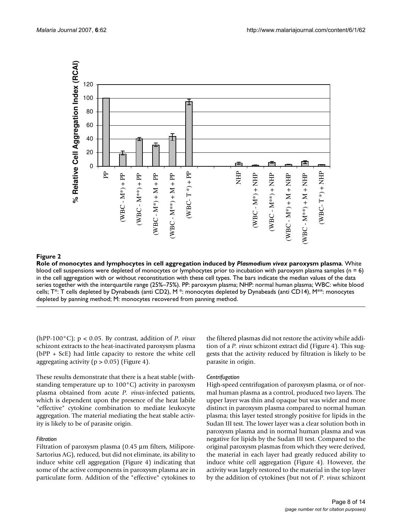

#### Role of monocytes and lymphocytes in **Figure 2** cell aggregation induced by *Plasmodium vivax* paroxysm plasma

**Role of monocytes and lymphocytes in cell aggregation induced by** *Plasmodium vivax* **paroxysm plasma**. White blood cell suspensions were depleted of monocytes or lymphocytes prior to incubation with paroxysm plasma samples ( $n = 6$ ) in the cell aggregation with or without reconstitution with these cell types. The bars indicate the median values of the data series together with the interquartile range (25%–75%). PP: paroxysm plasma; NHP: normal human plasma; WBC: white blood cells; T\*: T cells depleted by Dynabeads (anti CD2), M \*: monocytes depleted by Dynabeads (anti CD14), M\*\*: monocytes depleted by panning method; M: monocytes recovered from panning method.

(hPP-100°C); p < 0.05. By contrast, addition of *P. vivax* schizont extracts to the heat-inactivated paroxysm plasma (bPP + ScE) had little capacity to restore the white cell aggregating activity ( $p > 0.05$ ) (Figure 4).

These results demonstrate that there is a heat stable (withstanding temperature up to 100°C) activity in paroxysm plasma obtained from acute *P. vivax*-infected patients, which is dependent upon the presence of the heat labile "effective" cytokine combination to mediate leukocyte aggregation. The material mediating the heat stable activity is likely to be of parasite origin.

#### *Filtration*

Filtration of paroxysm plasma (0.45 μm filters, Milipore-Sartorius AG), reduced, but did not eliminate, its ability to induce white cell aggregation (Figure 4) indicating that some of the active components in paroxysm plasma are in particulate form. Addition of the "effective" cytokines to the filtered plasmas did not restore the activity while addition of a *P. vivax* schizont extract did (Figure 4). This suggests that the activity reduced by filtration is likely to be parasite in origin.

#### *Centrifugation*

High-speed centrifugation of paroxysm plasma, or of normal human plasma as a control, produced two layers. The upper layer was thin and opaque but was wider and more distinct in paroxysm plasma compared to normal human plasma; this layer tested strongly positive for lipids in the Sudan III test. The lower layer was a clear solution both in paroxysm plasma and in normal human plasma and was negative for lipids by the Sudan III test. Compared to the original paroxysm plasmas from which they were derived, the material in each layer had greatly reduced ability to induce white cell aggregation (Figure 4). However, the activity was largely restored to the material in the top layer by the addition of cytokines (but not of *P. vivax* schizont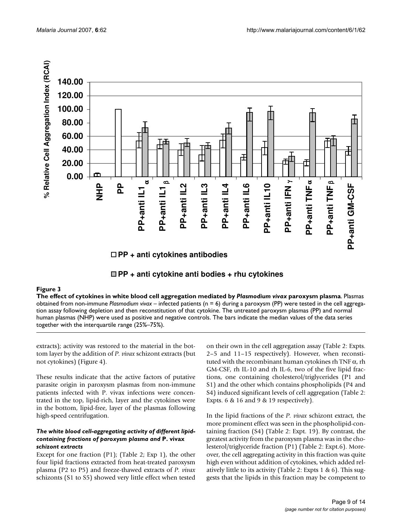



#### The effect of cytokines in white bl **Figure 3** ood cell aggregation mediated by *Plasmodium vivax* paroxysm plasma

**The effect of cytokines in white blood cell aggregation mediated by** *Plasmodium vivax* **paroxysm plasma**. Plasmas obtained from non-immune *Plasmodium vivax* – infected patients (n = 6) during a paroxysm (PP) were tested in the cell aggregation assay following depletion and then reconstitution of that cytokine. The untreated paroxysm plasmas (PP) and normal human plasmas (NHP) were used as positive and negative controls. The bars indicate the median values of the data series together with the interquartile range (25%–75%).

extracts); activity was restored to the material in the bottom layer by the addition of *P. vivax* schizont extracts (but not cytokines) (Figure 4).

These results indicate that the active factors of putative parasite origin in paroxysm plasmas from non-immune patients infected with P. vivax infections were concentrated in the top, lipid-rich, layer and the cytokines were in the bottom, lipid-free, layer of the plasmas following high-speed centrifugation.

## *The white blood cell-aggregating activity of different lipidcontaining fractions of paroxysm plasma and* **P. vivax**  *schizont extracts*

Except for one fraction (P1); (Table 2; Exp 1), the other four lipid fractions extracted from heat-treated paroxysm plasma (P2 to P5) and freeze-thawed extracts of *P. vivax* schizonts (S1 to S5) showed very little effect when tested on their own in the cell aggregation assay (Table 2: Expts. 2–5 and 11–15 respectively). However, when reconstituted with the recombinant human cytokines rh TNF  $\alpha$ , rh GM-CSF, rh IL-10 and rh IL-6, two of the five lipid fractions, one containing cholesterol/triglycerides (P1 and S1) and the other which contains phospholipids (P4 and S4) induced significant levels of cell aggregation (Table 2: Expts. 6 & 16 and 9 & 19 respectively).

In the lipid fractions of the *P. vivax* schizont extract, the more prominent effect was seen in the phospholipid-containing fraction (S4) (Table 2: Expt. 19). By contrast, the greatest activity from the paroxysm plasma was in the cholesterol/triglyceride fraction (P1) (Table 2: Expt.6). Moreover, the cell aggregating activity in this fraction was quite high even without addition of cytokines, which added relatively little to its activity (Table 2: Expts 1 & 6). This suggests that the lipids in this fraction may be competent to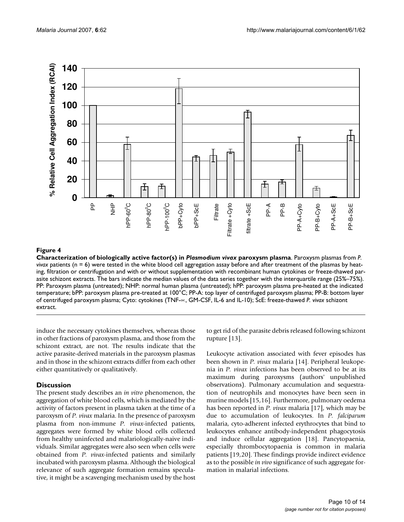

## Characterization of biologic **Figure 4** ally active factor(s) in *Plasmodium vivax* paroxysm plasma

**Characterization of biologically active factor(s) in** *Plasmodium vivax* **paroxysm plasma**. Paroxysm plasmas from *P. vivax* patients (n = 6) were tested in the white blood cell aggregation assay before and after treatment of the plasmas by heating, filtration or centrifugation and with or without supplementation with recombinant human cytokines or freeze-thawed parasite schizont extracts. The bars indicate the median values of the data series together with the interquartile range (25%–75%). PP: Paroxysm plasma (untreated); NHP: normal human plasma (untreated); hPP: paroxysm plasma pre-heated at the indicated temperature; bPP: paroxysm plasma pre-treated at 100°C; PP-A: top layer of centrifuged paroxysm plasma; PP-B: bottom layer of centrifuged paroxysm plasma; Cyto: cytokines (TNF-∝, GM-CSF, IL-6 and IL-10); ScE: freeze-thawed *P. vivax* schizont extract.

induce the necessary cytokines themselves, whereas those in other fractions of paroxysm plasma, and those from the schizont extract, are not. The results indicate that the active parasite-derived materials in the paroxysm plasmas and in those in the schizont extracts differ from each other either quantitatively or qualitatively.

## **Discussion**

The present study describes an *in vitro* phenomenon, the aggregation of white blood cells, which is mediated by the activity of factors present in plasma taken at the time of a paroxysm of *P. vivax* malaria. In the presence of paroxysm plasma from non-immune *P. vivax*-infected patients, aggregates were formed by white blood cells collected from healthy uninfected and malariologically-naive individuals. Similar aggregates were also seen when cells were obtained from *P. vivax*-infected patients and similarly incubated with paroxysm plasma. Although the biological relevance of such aggregate formation remains speculative, it might be a scavenging mechanism used by the host to get rid of the parasite debris released following schizont rupture [13].

Leukocyte activation associated with fever episodes has been shown in *P. vivax* malaria [14]. Peripheral leukopenia in *P. vivax* infections has been observed to be at its maximum during paroxysms (authors' unpublished observations). Pulmonary accumulation and sequestration of neutrophils and monocytes have been seen in murine models [15,16]. Furthermore, pulmonary oedema has been reported in *P. vivax* malaria [17], which may be due to accumulation of leukocytes. In *P. falciparum* malaria, cyto-adherent infected erythrocytes that bind to leukocytes enhance antibody-independent phagocytosis and induce cellular aggregation [[18](#page-12-2)]. Pancytopaenia, especially thrombocytopaenia is common in malaria patients [19,[20\]](#page-12-3). These findings provide indirect evidence as to the possible *in vivo* significance of such aggregate formation in malarial infections.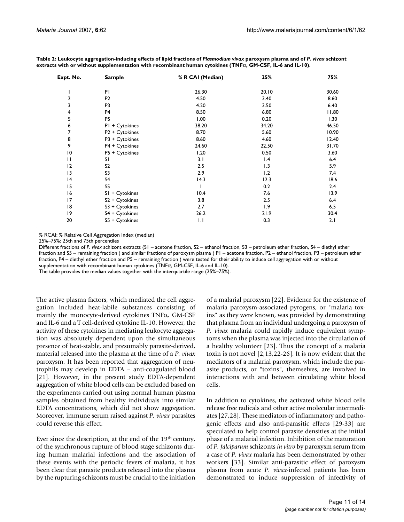| Expt. No.       | <b>Sample</b>              | % R CAI (Median) | 25%   | 75%   |
|-----------------|----------------------------|------------------|-------|-------|
|                 | <b>PI</b>                  | 26.30            | 20.10 | 30.60 |
|                 | P <sub>2</sub>             | 4.50             | 3.40  | 8.60  |
|                 | P <sub>3</sub>             | 4.20             | 3.50  | 6.40  |
|                 | P <sub>4</sub>             | 8.50             | 6.80  | 11.80 |
| 5               | P5                         | 1.00             | 0.20  | 1.30  |
| 6               | PI + Cytokines             | 38.20            | 34.20 | 46.50 |
|                 | P2 + Cytokines             | 8.70             | 5.60  | 10.90 |
| 8               | P3 + Cytokines             | 8.60             | 4.60  | 12.40 |
| 9               | P4 + Cytokines             | 24.60            | 22.50 | 31.70 |
| $\overline{10}$ | P5 + Cytokines             | 1.20             | 0.50  | 3.60  |
| П               | SΙ                         | 3.1              | 1.4   | 6.4   |
| 12              | S <sub>2</sub>             | 2.5              | 1.3   | 5.9   |
| 13              | S3                         | 2.9              | 1.2   | 7.4   |
| 4               | S <sub>4</sub>             | 14.3             | 12.3  | 18.6  |
| 15              | S5                         |                  | 0.2   | 2.4   |
| 16              | SI + Cytokines             | 10.4             | 7.6   | 13.9  |
| 17              | S <sub>2</sub> + Cytokines | 3.8              | 2.5   | 6.4   |
| 18              | S3 + Cytokines             | 2.7              | 1.9   | 6.5   |
| 9               | S4 + Cytokines             | 26.2             | 21.9  | 30.4  |
| 20              | S5 + Cytokines             | 1.1              | 0.3   | 2.1   |

**Table 2: Leukocyte aggregation-inducing effects of lipid fractions of** *Plasmodium vivax* **paroxysm plasma and of** *P. vivax* **schizont extracts with or without supplementation with recombinant human cytokines (TNF**α**, GM-CSF, IL-6 and IL-10).**

% RCAI: % Relative Cell Aggregation Index (median)

25%–75%: 25th and 75th percentiles

Different fractions of *P. vivax* schizont extracts (S1 – acetone fraction, S2 – ethanol fraction, S3 – petroleum ether fraction, S4 – diethyl ether fraction and S5 – remaining fraction ) and similar fractions of paroxysm plasma ( P1 – acetone fraction, P2 – ethanol fraction, P3 – petroleum ether fraction, P4 – diethyl ether fraction and P5 – remaining fraction ) were tested for their ability to induce cell aggregation with or without supplementation with recombinant human cytokines (TNFα, GM-CSF, IL-6 and IL-10).

The table provides the median values together with the interquartile range (25%–75%).

The active plasma factors, which mediated the cell aggregation included heat-labile substances consisting of mainly the monocyte-derived cytokines TNFα, GM-CSF and IL-6 and a T cell-derived cytokine IL-10. However, the activity of these cytokines in mediating leukocyte aggregation was absolutely dependent upon the simultaneous presence of heat-stable, and presumably parasite-derived, material released into the plasma at the time of a *P. vivax* paroxysm. It has been reported that aggregation of neutrophils may develop in EDTA – anti-coagulated blood [21]. However, in the present study EDTA-dependent aggregation of white blood cells can be excluded based on the experiments carried out using normal human plasma samples obtained from healthy individuals into similar EDTA concentrations, which did not show aggregation. Moreover, immune serum raised against *P. vivax* parasites could reverse this effect.

Ever since the description, at the end of the  $19<sup>th</sup>$  century, of the synchronous rupture of blood stage schizonts during human malarial infections and the association of these events with the periodic fevers of malaria, it has been clear that parasite products released into the plasma by the rupturing schizonts must be crucial to the initiation

of a malarial paroxysm [22]. Evidence for the existence of malaria paroxysm-associated pyrogens, or "malaria toxins" as they were known, was provided by demonstrating that plasma from an individual undergoing a paroxysm of *P. vivax* malaria could rapidly induce equivalent symptoms when the plasma was injected into the circulation of a healthy volunteer [23]. Thus the concept of a malaria toxin is not novel [2,13,22-26]. It is now evident that the mediators of a malarial paroxysm, which include the parasite products, or "toxins", themselves, are involved in interactions with and between circulating white blood cells.

In addition to cytokines, the activated white blood cells release free radicals and other active molecular intermediates [27,28]. These mediators of inflammatory and pathogenic effects and also anti-parasitic effects [29-33] are speculated to help control parasite densities at the initial phase of a malarial infection. Inhibition of the maturation of *P. falciparum* schizonts *in vitro* by paroxysm serum from a case of *P. vivax* malaria has been demonstrated by other workers [33]. Similar anti-parasitic effect of paroxysm plasma from acute *P. vivax*-infected patients has been demonstrated to induce suppression of infectivity of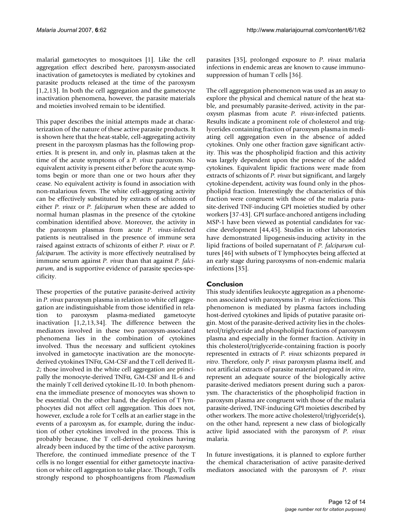malarial gametocytes to mosquitoes [[1\]](#page-12-0). Like the cell aggregation effect described here, paroxysm-associated inactivation of gametocytes is mediated by cytokines and parasite products released at the time of the paroxysm [[1,](#page-12-0)2,13]. In both the cell aggregation and the gametocyte inactivation phenomena, however, the parasite materials and moieties involved remain to be identified.

This paper describes the initial attempts made at characterization of the nature of these active parasite products. It is shown here that the heat-stable, cell-aggregating activity present in the paroxysm plasmas has the following properties. It is present in, and only in, plasmas taken at the time of the acute symptoms of a *P. vivax* paroxysm. No equivalent activity is present either before the acute symptoms begin or more than one or two hours after they cease. No equivalent activity is found in association with non-malarious fevers. The white cell-aggregating activity can be effectively substituted by extracts of schizonts of either *P. vivax* or *P. falciparum* when these are added to normal human plasmas in the presence of the cytokine combination identified above. Moreover, the activity in the paroxysm plasmas from acute *P. vivax*-infected patients is neutralised in the presence of immune sera raised against extracts of schizonts of either *P. vivax* or *P. falciparum*. The activity is more effectively neutralised by immune serum against *P. vivax* than that against *P. falciparum*, and is supportive evidence of parasite species-specificity.

These properties of the putative parasite-derived activity in *P. vivax* paroxysm plasma in relation to white cell aggregation are indistinguishable from those identified in relation to paroxysm plasma-mediated gametocyte inactivation [[1](#page-12-0),2,13,34]. The difference between the mediators involved in these two paroxysm-associated phenomena lies in the combination of cytokines involved. Thus the necessary and sufficient cytokines involved in gametocyte inactivation are the monocytederived cytokines TNFα, GM-CSF and the T cell derived IL-2; those involved in the white cell aggregation are principally the monocyte-derived TNFα, GM-CSF and IL-6 and the mainly T cell derived cytokine IL-10. In both phenomena the immediate presence of monocytes was shown to be essential. On the other hand, the depletion of T lymphocytes did not affect cell aggregation. This does not, however, exclude a role for T cells at an earlier stage in the events of a paroxysm as, for example, during the induction of other cytokines involved in the process. This is probably because, the T cell-derived cytokines having already been induced by the time of the active paroxysm. Therefore, the continued immediate presence of the T cells is no longer essential for either gametocyte inactivation or white cell aggregation to take place. Though, T cells strongly respond to phosphoantigens from *Plasmodium*

parasites [35], prolonged exposure to *P. vivax* malaria infections in endemic areas are known to cause immunosuppression of human T cells [36].

The cell aggregation phenomenon was used as an assay to explore the physical and chemical nature of the heat stable, and presumably parasite-derived, activity in the paroxysm plasmas from acute *P. vivax*-infected patients. Results indicate a prominent role of cholesterol and triglycerides containing fraction of paroxysm plasma in mediating cell aggregation even in the absence of added cytokines. Only one other fraction gave significant activity. This was the phospholipid fraction and this activity was largely dependent upon the presence of the added cytokines. Equivalent lipidic fractions were made from extracts of schizonts of *P. vivax* but significant, and largely cytokine-dependent, activity was found only in the phospholipid fraction. Interestingly the characteristics of this fraction were congruent with those of the malaria parasite-derived TNF-inducing GPI moieties studied by other workers [37-43]. GPI surface-anchored antigens including MSP-1 have been viewed as potential candidates for vaccine development [44,45]. Studies in other laboratories have demonstrated lipogenesis-inducing activity in the lipid fractions of boiled supernatant of *P. falciparum* cultures [46] with subsets of T lymphocytes being affected at an early stage during paroxysms of non-endemic malaria infections [35].

## **Conclusion**

This study identifies leukocyte aggregation as a phenomenon associated with paroxysms in *P. vivax* infections. This phenomenon is mediated by plasma factors including host-derived cytokines and lipids of putative parasite origin. Most of the parasite-derived activity lies in the cholesterol/triglyceride and phospholipid fractions of paroxysm plasma and especially in the former fraction. Activity in this cholesterol/triglyceride-containing fraction is poorly represented in extracts of *P. vivax* schizonts prepared *in vitro*. Therefore, only *P. vivax* paroxysm plasma itself, and not artificial extracts of parasite material prepared *in vitro*, represent an adequate source of the biologically active parasite-derived mediators present during such a paroxysm. The characteristics of the phospholipid fraction in paroxysm plasma are congruent with those of the malaria parasite-derived, TNF-inducing GPI moieties described by other workers. The more active cholesterol/triglyceride(s), on the other hand, represent a new class of biologically active lipid associated with the paroxysm of *P. vivax* malaria.

In future investigations, it is planned to explore further the chemical characterisation of active parasite-derived mediators associated with the paroxysm of *P. vivax*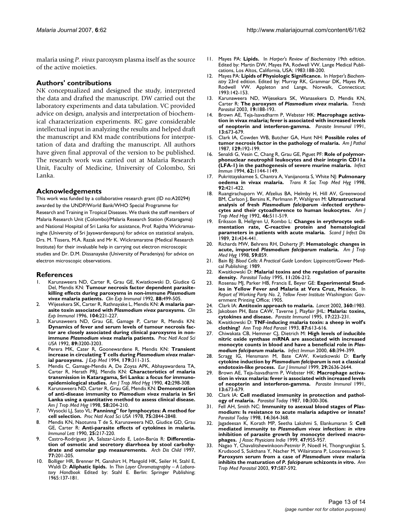malaria using *P. vivax* paroxysm plasma itself as the source of the active moieties.

#### **Authors' contributions**

NK conceptualized and designed the study, interpreted the data and drafted the manuscript. DW carried out the laboratory experiments and data tabulation. VC provided advice on design, analysis and interpretation of biochemical characterization experiments. RC gave considerable intellectual input in analyzing the results and helped draft the manuscript and KM made contributions for interpretation of data and drafting the manuscript. All authors have given final approval of the version to be published. The research work was carried out at Malaria Research Unit, Faculty of Medicine, University of Colombo, Sri Lanka.

#### **Acknowledgements**

This work was funded by a collaborative research grant (ID no:A20294) awarded by the UNDP/World Bank/WHO Special Programme for Research and Training in Tropical Diseases. We thank the staff members of Malaria Research Unit (Colombo)/Malaria Research Station (Kataragama) and National Hospital of Sri Lanka for assistance, Prof. Rajitha Wickramasinghe (University of Sri Jayawardenepura) for advice on statistical analysis, Drs. M. Tissera, M.A. Razak and Mr K. Wickramaratne (Medical Research Institute) for their invaluable help in carrying out electron microscopic studies and Dr. D.M. Dissanayake (University of Peradeniya) for advice on electron microscopic observations.

#### **References**

- <span id="page-12-0"></span>1. Karunaweera ND, Carter R, Grau GE, Kwiatkowski D, Giudice G Del, Mendis KN: **Tumour necrosis factor dependent parasitekilling effects during paroxysms in non-immune** *Plasmodium vivax* **[malaria patients.](http://www.ncbi.nlm.nih.gov/entrez/query.fcgi?cmd=Retrieve&db=PubMed&dopt=Abstract&list_uids=1351432)** *Clin Exp Immunol* 1992, **88:**499-505.
- 2. Wijesekera SK, Carter R, Rathnayake L, Mendis KN: **A malaria parasite toxin associated with** *Plasmodium vivax* **[paroxysms.](http://www.ncbi.nlm.nih.gov/entrez/query.fcgi?cmd=Retrieve&db=PubMed&dopt=Abstract&list_uids=8625512)** *Clin Exp Immunol* 1996, **104:**221-227.
- 3. Karunaweera ND, Grau GE, Gamage P, Carter R, Mendis KN: **Dynamics of fever and serum levels of tumour necrosis factor are closely associated during clinical paroxysms in nonimmune** *Plasmodium vivax* **[malaria patients.](http://www.ncbi.nlm.nih.gov/entrez/query.fcgi?cmd=Retrieve&db=PubMed&dopt=Abstract&list_uids=1565611)** *Proc Natl Acad Sci USA* 1992, **89:**3200-3203.
- 4. Perera MK, Cater R, Goonewardene R, Mendis KN: **Transient increase in circulating T cells during** *Plasmodium vivax* **[malar](http://www.ncbi.nlm.nih.gov/entrez/query.fcgi?cmd=Retrieve&db=PubMed&dopt=Abstract&list_uids=8270875)[ial paroxysms.](http://www.ncbi.nlm.nih.gov/entrez/query.fcgi?cmd=Retrieve&db=PubMed&dopt=Abstract&list_uids=8270875)** *J Exp Med* 1994, **179:**311-315.
- 5. Mendis C, Gamage-Mendis A, De Zoysa APK, Abhayawardena TA, Carter R, Herath PRJ, Mendis KN: **[Characteristics of malaria](http://www.ncbi.nlm.nih.gov/entrez/query.fcgi?cmd=Retrieve&db=PubMed&dopt=Abstract&list_uids=2184688) [transmission in Kataragama, Sri Lanka: a focus for immuno](http://www.ncbi.nlm.nih.gov/entrez/query.fcgi?cmd=Retrieve&db=PubMed&dopt=Abstract&list_uids=2184688)[epidemiological studies.](http://www.ncbi.nlm.nih.gov/entrez/query.fcgi?cmd=Retrieve&db=PubMed&dopt=Abstract&list_uids=2184688)** *Am J Trop Med Hyg* 1990, **42:**298-308.
- <span id="page-12-1"></span>6. Karunaweera ND, Carter R, Grau GE, Mendis KN: **Demonstration of anti-disease immunity to** *Plamodium vivax* **[malaria in Sri](http://www.ncbi.nlm.nih.gov/entrez/query.fcgi?cmd=Retrieve&db=PubMed&dopt=Abstract&list_uids=9502605) [Lanka using a quantitative method to assess clinical disease.](http://www.ncbi.nlm.nih.gov/entrez/query.fcgi?cmd=Retrieve&db=PubMed&dopt=Abstract&list_uids=9502605)** *Am J Trop Med Hyg* 1998, **58:**204-210.
- 7. Wysocki LJ, Sato VL: **[Panninng" for lymphocytes: A method for](http://www.ncbi.nlm.nih.gov/entrez/query.fcgi?cmd=Retrieve&db=PubMed&dopt=Abstract&list_uids=351618) [cell selection.](http://www.ncbi.nlm.nih.gov/entrez/query.fcgi?cmd=Retrieve&db=PubMed&dopt=Abstract&list_uids=351618)** *Proc Natl Acad Sci USA* 1978, **75:**2844-2848.
- 8. Mendis KN, Naotunna T de S, Karunaweera ND, Giudice GD, Grau GE, Carter R: **[Anti-parasite effects of cytokines in malaria.](http://www.ncbi.nlm.nih.gov/entrez/query.fcgi?cmd=Retrieve&db=PubMed&dopt=Abstract&list_uids=2126526)** *Immunol Lett* 1990, **25:**217-220.
- 9. Castro-Rodríguez JA, Salazar-Lindo E, León-Barúa R: **[Differentia](http://www.ncbi.nlm.nih.gov/entrez/query.fcgi?cmd=Retrieve&db=PubMed&dopt=Abstract&list_uids=9370895)[tion of osmotic and secretory diarrhoea by stool carbohy](http://www.ncbi.nlm.nih.gov/entrez/query.fcgi?cmd=Retrieve&db=PubMed&dopt=Abstract&list_uids=9370895)[drate and osmolar gap measurements.](http://www.ncbi.nlm.nih.gov/entrez/query.fcgi?cmd=Retrieve&db=PubMed&dopt=Abstract&list_uids=9370895)** *Arch Dis Child* 1997, **77:**201-205.
- 10. Bolliger HR, Brenner M, Ganshirt H, Mangold HK, Seiler H, Stahl E, Waldi D: **Aliphatic lipids.** In *Thin Layer Chromatography – A Laboratory Handbook* Edited by: Stahl E. Berlin: Springer Publishing; 1965:137-181.
- 11. Mayes PA: **Lipids.** In *Harper's Review of Biochemistry* 19th edition. Edited by: Martin DW, Mayes PA, Rodwell VW. Lange Medical Publications, Los Altos, California, USA; 1983:188-200.
- 12. Mayes PA: **Lipids of Physiologic Significance.** In *Harper's Biochemistry* 23rd edition. Edited by: Murray RK, Grammar DK, Mayes PA, Rodwell VW. Appleton and Lange, Norwalk, Connecticut; 1993:142-153.
- 13. Karunaweera ND, Wijesekara SK, Wanasekera D, Mendis KN, Carter R: **The paroxysm of** *Plasmodium vivax* **[malaria.](http://www.ncbi.nlm.nih.gov/entrez/query.fcgi?cmd=Retrieve&db=PubMed&dopt=Abstract&list_uids=12689650)** *Trends Parasitol* 2003, **19:**188-193.
- 14. Brown AE, Teja-Isavadharm P, Webster HK: **[Macrophage activa](http://www.ncbi.nlm.nih.gov/entrez/query.fcgi?cmd=Retrieve&db=PubMed&dopt=Abstract&list_uids=1811217)[tion in vivax malaria; fever is associated with increased levels](http://www.ncbi.nlm.nih.gov/entrez/query.fcgi?cmd=Retrieve&db=PubMed&dopt=Abstract&list_uids=1811217) [of neopterin and interferon-gamma.](http://www.ncbi.nlm.nih.gov/entrez/query.fcgi?cmd=Retrieve&db=PubMed&dopt=Abstract&list_uids=1811217)** *Parasite Immunol* 1991, **13:**673-679.
- 15. Clark IA, Cowden WB, Butcher GA, Hunt NH: **[Possible roles of](http://www.ncbi.nlm.nih.gov/entrez/query.fcgi?cmd=Retrieve&db=PubMed&dopt=Abstract&list_uids=3661678) [tumor necrosis factor in the pathology of malaria.](http://www.ncbi.nlm.nih.gov/entrez/query.fcgi?cmd=Retrieve&db=PubMed&dopt=Abstract&list_uids=3661678)** *Am J Pathol* 1987, **129:**192-199.
- 16. Senaldi G, Vesin C, Chang R, Grau GE, Piguet PF: **[Role of polymor](http://www.ncbi.nlm.nih.gov/entrez/query.fcgi?cmd=Retrieve&db=PubMed&dopt=Abstract&list_uids=8132319)[phonuclear neutrophil leukocytes and their integrin CD11a](http://www.ncbi.nlm.nih.gov/entrez/query.fcgi?cmd=Retrieve&db=PubMed&dopt=Abstract&list_uids=8132319) [\(LFA-1\) in the pathogenesis of severe murine malaria.](http://www.ncbi.nlm.nih.gov/entrez/query.fcgi?cmd=Retrieve&db=PubMed&dopt=Abstract&list_uids=8132319)** *Infect Immun* 1994, **62:**1144-1149.
- 17. Pukrittayakamee S, Chantra A, Vanijanonta S, White NJ: **[Pulmonary](http://www.ncbi.nlm.nih.gov/entrez/query.fcgi?cmd=Retrieve&db=PubMed&dopt=Abstract&list_uids=9850397) [oedema in vivax malaria.](http://www.ncbi.nlm.nih.gov/entrez/query.fcgi?cmd=Retrieve&db=PubMed&dopt=Abstract&list_uids=9850397)** *Trans R Soc Trop Med Hyg* 1998, **92:**421-422.
- <span id="page-12-2"></span>18. Ruangirachuporn W, Afzelius BA, Helmby H, Hill AV, Greenwood BM, Carlson J, Bersins K, Perlmann P, Wahlgren M: **Ultrastructural analysis of fresh** *Plasmodium falciparum* **[-infected erythro](http://www.ncbi.nlm.nih.gov/entrez/query.fcgi?cmd=Retrieve&db=PubMed&dopt=Abstract&list_uids=1599044)[cytes and their cytoadherence to human leukocytes.](http://www.ncbi.nlm.nih.gov/entrez/query.fcgi?cmd=Retrieve&db=PubMed&dopt=Abstract&list_uids=1599044)** *Am J Trop Med Hyg* 1992, **46:**511-519.
- 19. Eriksson B, Hellgren U, Rombo L: **[Changes in erythrocyte sedi](http://www.ncbi.nlm.nih.gov/entrez/query.fcgi?cmd=Retrieve&db=PubMed&dopt=Abstract&list_uids=2587946)[mentation rate, C-reactive protein and hematological](http://www.ncbi.nlm.nih.gov/entrez/query.fcgi?cmd=Retrieve&db=PubMed&dopt=Abstract&list_uids=2587946) [parameters in patients with acute malaria.](http://www.ncbi.nlm.nih.gov/entrez/query.fcgi?cmd=Retrieve&db=PubMed&dopt=Abstract&list_uids=2587946)** *Scand J Infect Dis* 1989, **21:**434-441.
- <span id="page-12-3"></span>20. Richards MW, Behrens RH, Doherty JF: **Hematologic changes in acute, imported** *Plasmodium falciparum* **[malaria.](http://www.ncbi.nlm.nih.gov/entrez/query.fcgi?cmd=Retrieve&db=PubMed&dopt=Abstract&list_uids=9886188)** *Am J Trop Med Hyg* 1998, **59:**859.
- 21. Bain BJ: *Blood Cells: A Practical Guide* London: Lippincott/Gower Medical Publishing; 1989.
- 22. Kwaitkowski D: **[Malarial toxins and the regulation of parasite](http://www.ncbi.nlm.nih.gov/entrez/query.fcgi?cmd=Retrieve&db=PubMed&dopt=Abstract&list_uids=15275344) [density.](http://www.ncbi.nlm.nih.gov/entrez/query.fcgi?cmd=Retrieve&db=PubMed&dopt=Abstract&list_uids=15275344)** *Parasitol Today* 1995, **11:**206-212.
- 23. Rosenau MJ, Parker HB, Francis E, Beyer GE: **Experimental Studies in Yellow Fever and Malaria at Vera Cruz, Mexico.** In *Report of Working Party No. 2, Yellow Fever Institute* Washington: Government Printing Office; 1905.
- 24. Clark IA: **[Antitoxin approach to malaria.](http://www.ncbi.nlm.nih.gov/entrez/query.fcgi?cmd=Retrieve&db=PubMed&dopt=Abstract&list_uids=12493306)** *Lancet* 2002, **360:**1983.
- 25. Jakobsen PH, Bate CAW, Taverne J, Playfair JHL: **[Malaria: toxins,](http://www.ncbi.nlm.nih.gov/entrez/query.fcgi?cmd=Retrieve&db=PubMed&dopt=Abstract&list_uids=7675508) [cytokines and disease.](http://www.ncbi.nlm.nih.gov/entrez/query.fcgi?cmd=Retrieve&db=PubMed&dopt=Abstract&list_uids=7675508)** *Parasite Immunol* 1995, **17:**223-231.
- 26. Kwaitkowski D: **[TNF-inducing malaria toxin: a sheep in wolf's](http://www.ncbi.nlm.nih.gov/entrez/query.fcgi?cmd=Retrieve&db=PubMed&dopt=Abstract&list_uids=8122924) [clothing?](http://www.ncbi.nlm.nih.gov/entrez/query.fcgi?cmd=Retrieve&db=PubMed&dopt=Abstract&list_uids=8122924)** *Ann Trop Med Parasit* 1993, **87:**613-616.
- 27. Chiwakata CB, Hemmer CJ, Dietrich M: **High levels of inducible nitric oxide synthase mRNA are associated with increased monocyte counts in blood and have a beneficial role in** *Plasmodium falciparum* **[malaria.](http://www.ncbi.nlm.nih.gov/entrez/query.fcgi?cmd=Retrieve&db=PubMed&dopt=Abstract&list_uids=10603415)** *Infect Immun* 2000, **68:**394-399.
- Scragg IG, Hensmann M, Bate CAW, Kwiatkowski D: Early **cytokine induction by** *Plasmodium falciparum* **[is not a classical](http://www.ncbi.nlm.nih.gov/entrez/query.fcgi?cmd=Retrieve&db=PubMed&dopt=Abstract&list_uids=10458778) [endotoxin-like process.](http://www.ncbi.nlm.nih.gov/entrez/query.fcgi?cmd=Retrieve&db=PubMed&dopt=Abstract&list_uids=10458778)** *Eur J Immunol* 1999, **29:**2636-2644.
- 29. Brown AE, Teja-Isavadharm P, Webster HK: **[Macrophage activa](http://www.ncbi.nlm.nih.gov/entrez/query.fcgi?cmd=Retrieve&db=PubMed&dopt=Abstract&list_uids=1811217)[tion in vivax malaria: fever is associated with increased levels](http://www.ncbi.nlm.nih.gov/entrez/query.fcgi?cmd=Retrieve&db=PubMed&dopt=Abstract&list_uids=1811217) [of neopterin and interferon-gamma.](http://www.ncbi.nlm.nih.gov/entrez/query.fcgi?cmd=Retrieve&db=PubMed&dopt=Abstract&list_uids=1811217)** *Parasite Immunol* 1991, **13:**673-679.
- 30. Clark IA: **Cell mediated immunity in protection and pathology of malaria.** *Parasitol Today* 1987, **10:**300-306.
- 31. Fell AH, Smith NC: **[Immunity to asexual blood stages of Plas](http://www.ncbi.nlm.nih.gov/entrez/query.fcgi?cmd=Retrieve&db=PubMed&dopt=Abstract&list_uids=17040818)[modium: Is resistance to acute malaria adaptive or innate?](http://www.ncbi.nlm.nih.gov/entrez/query.fcgi?cmd=Retrieve&db=PubMed&dopt=Abstract&list_uids=17040818)** *Parasitol Today* 1998, **14:**364-368.
- 32. Jagadeesan K, Korath MP, Seetha Lakshmi S, Elankumaran S: **Cell mediated immunity to** *Plasmodium vivax* **infection:** *in vitro* **[inhibition of parasite growth by monocyte derived macro](http://www.ncbi.nlm.nih.gov/entrez/query.fcgi?cmd=Retrieve&db=PubMed&dopt=Abstract&list_uids=10778685)[phages.](http://www.ncbi.nlm.nih.gov/entrez/query.fcgi?cmd=Retrieve&db=PubMed&dopt=Abstract&list_uids=10778685)** *J Assoc Physicians India* 1999, **47:**955-957.
- 33. Nagao Y, Chavalitshewinkoon-Petmitr P, Noedl H, Thongrungkiat S, Krudsood S, Sukthana Y, Nacher M, Wilairatana P, Looareesuwan S: **Paroxysm serum from a case of** *Plasmodium vivax* **malaria inhibits the maturation of** *P. falciparum* **schizonts** *in vitro***[.](http://www.ncbi.nlm.nih.gov/entrez/query.fcgi?cmd=Retrieve&db=PubMed&dopt=Abstract&list_uids=14511557)** *Ann Trop Med Parasitol* 2003, **97:**587-592.